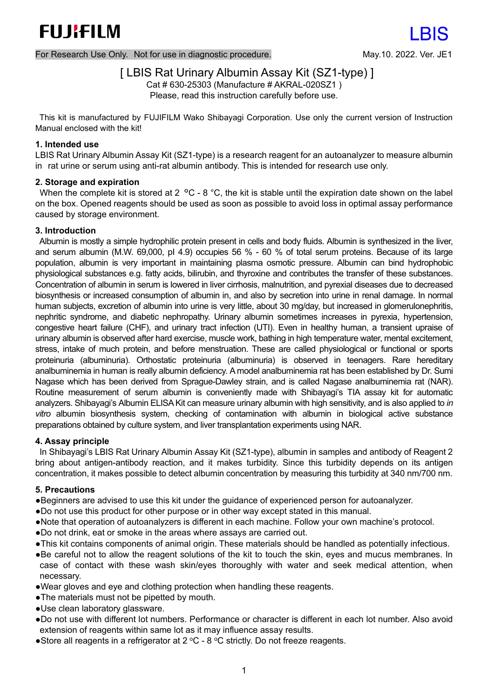For Research Use Only. Not for use in diagnostic procedure. May.10. 2022. Ver. JE1

# [ LBIS Rat Urinary Albumin Assay Kit (SZ1-type) ]

Cat # 630-25303 (Manufacture # AKRAL-020SZ1 ) Please, read this instruction carefully before use.

This kit is manufactured by FUJIFILM Wako Shibayagi Corporation. Use only the current version of Instruction Manual enclosed with the kit!

### **1. Intended use**

LBIS Rat Urinary Albumin Assay Kit (SZ1-type) is a research reagent for an autoanalyzer to measure albumin in rat urine or serum using anti-rat albumin antibody. This is intended for research use only.

### **2. Storage and expiration**

When the complete kit is stored at 2 °C - 8 °C, the kit is stable until the expiration date shown on the label on the box. Opened reagents should be used as soon as possible to avoid loss in optimal assay performance caused by storage environment.

### **3. Introduction**

Albumin is mostly a simple hydrophilic protein present in cells and body fluids. Albumin is synthesized in the liver, and serum albumin (M.W. 69,000, pI 4.9) occupies 56 % - 60 % of total serum proteins. Because of its large population, albumin is very important in maintaining plasma osmotic pressure. Albumin can bind hydrophobic physiological substances e.g. fatty acids, bilirubin, and thyroxine and contributes the transfer of these substances. Concentration of albumin in serum is lowered in liver cirrhosis, malnutrition, and pyrexial diseases due to decreased biosynthesis or increased consumption of albumin in, and also by secretion into urine in renal damage. In normal human subjects, excretion of albumin into urine is very little, about 30 mg/day, but increased in glomerulonephritis, nephritic syndrome, and diabetic nephropathy. Urinary albumin sometimes increases in pyrexia, hypertension, congestive heart failure (CHF), and urinary tract infection (UTI). Even in healthy human, a transient upraise of urinary albumin is observed after hard exercise, muscle work, bathing in high temperature water, mental excitement, stress, intake of much protein, and before menstruation. These are called physiological or functional or sports proteinuria (albuminuria). Orthostatic proteinuria (albuminuria) is observed in teenagers. Rare hereditary analbuminemia in human is really albumin deficiency. A model analbuminemia rat has been established by Dr. Sumi Nagase which has been derived from Sprague-Dawley strain, and is called Nagase analbuminemia rat (NAR). Routine measurement of serum albumin is conveniently made with Shibayagi's TIA assay kit for automatic analyzers. Shibayagi's Albumin ELISA Kit can measure urinary albumin with high sensitivity, and is also applied to *in vitro* albumin biosynthesis system, checking of contamination with albumin in biological active substance preparations obtained by culture system, and liver transplantation experiments using NAR.

#### **4. Assay principle**

In Shibayagi's LBIS Rat Urinary Albumin Assay Kit (SZ1-type), albumin in samples and antibody of Reagent 2 bring about antigen-antibody reaction, and it makes turbidity. Since this turbidity depends on its antigen concentration, it makes possible to detect albumin concentration by measuring this turbidity at 340 nm/700 nm.

# **5. Precautions**

- ●Beginners are advised to use this kit under the guidance of experienced person for autoanalyzer.
- ●Do not use this product for other purpose or in other way except stated in this manual.
- ●Note that operation of autoanalyzers is different in each machine. Follow your own machine's protocol.
- ●Do not drink, eat or smoke in the areas where assays are carried out.
- ●This kit contains components of animal origin. These materials should be handled as potentially infectious.
- ●Be careful not to allow the reagent solutions of the kit to touch the skin, eyes and mucus membranes. In case of contact with these wash skin/eyes thoroughly with water and seek medical attention, when necessary.
- ●Wear gloves and eye and clothing protection when handling these reagents.
- ●The materials must not be pipetted by mouth.
- ●Use clean laboratory glassware.
- ●Do not use with different lot numbers. Performance or character is different in each lot number. Also avoid extension of reagents within same lot as it may influence assay results.
- Store all reagents in a refrigerator at  $2^{\circ}$ C 8 °C strictly. Do not freeze reagents.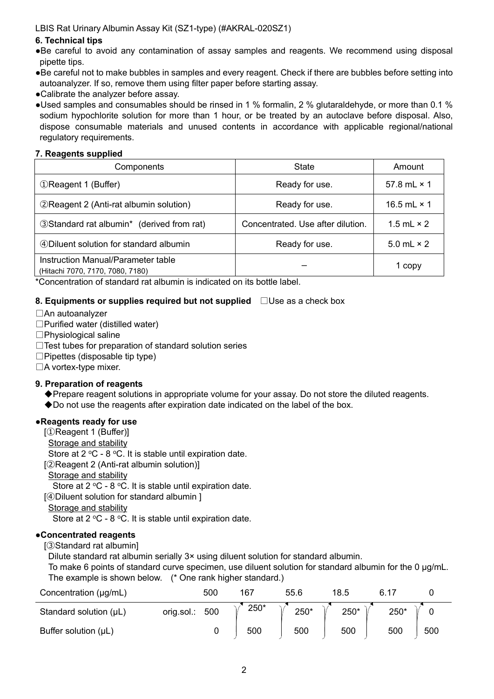# **6. Technical tips**

- ●Be careful to avoid any contamination of assay samples and reagents. We recommend using disposal pipette tips.
- ●Be careful not to make bubbles in samples and every reagent. Check if there are bubbles before setting into autoanalyzer. If so, remove them using filter paper before starting assay.
- ●Calibrate the analyzer before assay.
- ●Used samples and consumables should be rinsed in 1 % formalin, 2 % glutaraldehyde, or more than 0.1 % sodium hypochlorite solution for more than 1 hour, or be treated by an autoclave before disposal. Also, dispose consumable materials and unused contents in accordance with applicable regional/national regulatory requirements.

# **7. Reagents supplied**

| Components                                                             | <b>State</b>                      | Amount             |
|------------------------------------------------------------------------|-----------------------------------|--------------------|
| <b>1 (Buffer)</b>                                                      | Ready for use.                    | 57.8 mL $\times$ 1 |
| 2 Reagent 2 (Anti-rat albumin solution)                                | Ready for use.                    | 16.5 mL $\times$ 1 |
| 3 Standard rat albumin* (derived from rat)                             | Concentrated. Use after dilution. | 1.5 mL $\times$ 2  |
| 4 Diluent solution for standard albumin                                | Ready for use.                    | 5.0 mL $\times$ 2  |
| Instruction Manual/Parameter table<br>(Hitachi 7070, 7170, 7080, 7180) |                                   | 1 copy             |

\*Concentration of standard rat albumin is indicated on its bottle label.

# **8. Equipments or supplies required but not supplied** □Use as a check box

- □An autoanalyzer
- □Purified water (distilled water)
- □Physiological saline
- □Test tubes for preparation of standard solution series
- $\square$  Pipettes (disposable tip type)
- □A vortex-type mixer.

# **9. Preparation of reagents**

- ◆Prepare reagent solutions in appropriate volume for your assay. Do not store the diluted reagents.
- ◆Do not use the reagents after expiration date indicated on the label of the box.

# ●**Reagents ready for use**

- [①Reagent 1 (Buffer)]
- **Storage and stability**

Store at  $2^{\circ}$ C - 8 °C. It is stable until expiration date.

- [②Reagent 2 (Anti-rat albumin solution)]
- Storage and stability

Store at  $2 \text{ °C}$  -  $8 \text{ °C}$ . It is stable until expiration date.

[④Diluent solution for standard albumin ]

Storage and stability

Store at  $2 \text{ °C}$  - 8  $\text{ °C}$ . It is stable until expiration date.

# ●**Concentrated reagents**

[③Standard rat albumin]

Dilute standard rat albumin serially 3× using diluent solution for standard albumin.

To make 6 points of standard curve specimen, use diluent solution for standard albumin for the 0 μg/mL. The example is shown below. (\* One rank higher standard.)

| Concentration (µg/mL)     | 500               | 167  | 55.6 | 18.5 |      |     |
|---------------------------|-------------------|------|------|------|------|-----|
| Standard solution (µL)    | 500<br>orig.sol.: | 250* | 250* | 250* | 250* |     |
| Buffer solution $(\mu L)$ |                   | 500  | 500  | 500  | 500  | 500 |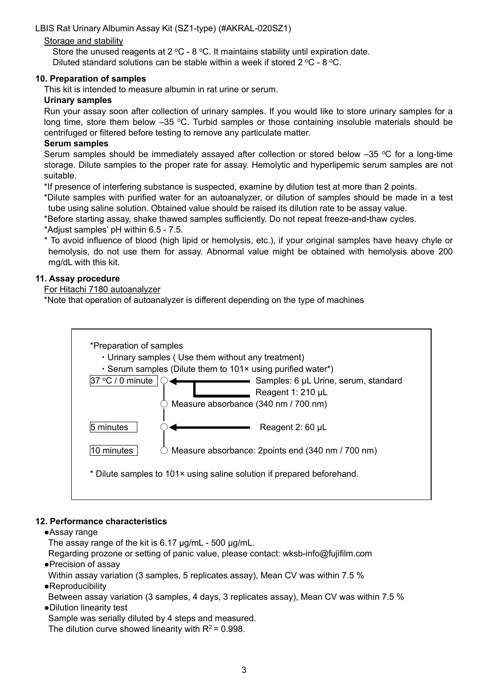# Storage and stability

Store the unused reagents at 2  $^{\circ}$ C - 8  $^{\circ}$ C. It maintains stability until expiration date. Diluted standard solutions can be stable within a week if stored  $2^{\circ}$ C - 8  $^{\circ}$ C.

# **10. Preparation of samples**

This kit is intended to measure albumin in rat urine or serum.

### **Urinary samples**

Run your assay soon after collection of urinary samples. If you would like to store urinary samples for a long time, store them below -35 °C. Turbid samples or those containing insoluble materials should be centrifuged or filtered before testing to remove any particulate matter.

### **Serum samples**

Serum samples should be immediately assayed after collection or stored below  $-35$  °C for a long-time storage. Dilute samples to the proper rate for assay. Hemolytic and hyperlipemic serum samples are not suitable.

\*If presence of interfering substance is suspected, examine by dilution test at more than 2 points.

\*Dilute samples with purified water for an autoanalyzer, or dilution of samples should be made in a test tube using saline solution. Obtained value should be raised its dilution rate to be assay value.

\*Before starting assay, shake thawed samples sufficiently. Do not repeat freeze-and-thaw cycles.

\*Adjust samples' pH within 6.5 - 7.5.

\* To avoid influence of blood (high lipid or hemolysis, etc.), if your original samples have heavy chyle or hemolysis, do not use them for assay. Abnormal value might be obtained with hemolysis above 200 mg/dL with this kit.

### **11. Assay procedure**

### For Hitachi 7180 autoanalyzer

\*Note that operation of autoanalyzer is different depending on the type of machines



# **12. Performance characteristics**

●Assay range

The assay range of the kit is 6.17 μg/mL - 500 μg/mL.

Regarding prozone or setting of panic value, please contact: wksb-info@fujifilm.com

●Precision of assay

Within assay variation (3 samples, 5 replicates assay), Mean CV was within 7.5 %

- ●Reproducibility
- Between assay variation (3 samples, 4 days, 3 replicates assay), Mean CV was within 7.5 % ●Dilution linearity test

Sample was serially diluted by 4 steps and measured.

The dilution curve showed linearity with  $R^2$  = 0.998.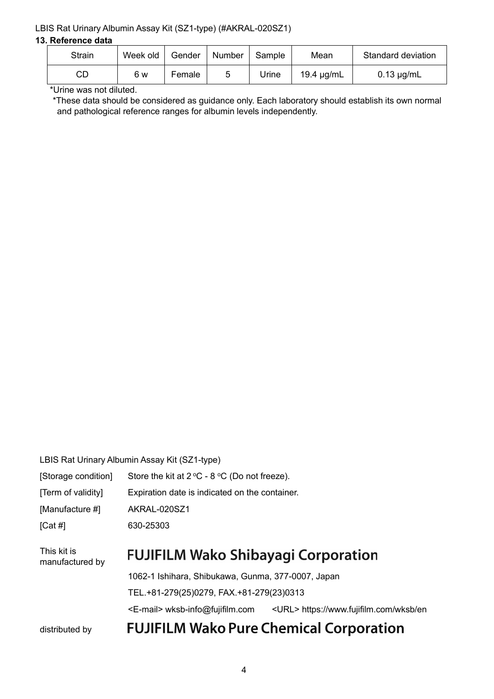#### **13. Reference data**

| <b>Strain</b> | Week old | Gender | Number | Sample | Mean       | Standard deviation |
|---------------|----------|--------|--------|--------|------------|--------------------|
| CГ            | 6 w      | Female | 5      | Urine  | 19.4 µg/mL | $0.13 \mu g/mL$    |

\*Urine was not diluted.

\*These data should be considered as guidance only. Each laboratory should establish its own normal and pathological reference ranges for albumin levels independently.

| LBIS Rat Urinary Albumin Assay Kit (SZ1-type) |
|-----------------------------------------------|
|-----------------------------------------------|

| [Storage condition]            | Store the kit at $2^{\circ}C - 8^{\circ}C$ (Do not freeze). |                                                |  |  |  |  |
|--------------------------------|-------------------------------------------------------------|------------------------------------------------|--|--|--|--|
| [Term of validity]             |                                                             | Expiration date is indicated on the container. |  |  |  |  |
| [Manufacture #]                | AKRAL-020SZ1                                                |                                                |  |  |  |  |
| [Cat #]                        | 630-25303                                                   |                                                |  |  |  |  |
| This kit is<br>manufactured by | <b>FUJIFILM Wako Shibayagi Corporation</b>                  |                                                |  |  |  |  |
|                                | 1062-1 Ishihara, Shibukawa, Gunma, 377-0007, Japan          |                                                |  |  |  |  |
|                                | TEL.+81-279(25)0279, FAX.+81-279(23)0313                    |                                                |  |  |  |  |
|                                | <e-mail> wksb-info@fujifilm.com</e-mail>                    | <url> https://www.fujifilm.com/wksb/en</url>   |  |  |  |  |
| distributed by                 |                                                             | <b>FUJIFILM Wako Pure Chemical Corporation</b> |  |  |  |  |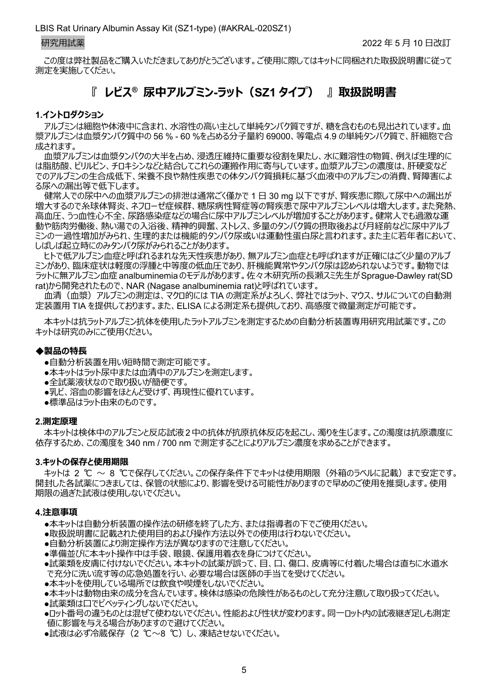この度は弊社製品をご購入いただきましてありがとうございます。ご使用に際してはキットに同梱された取扱説明書に従って 測定を実施してください。

# **『 レビス® 尿中アルブミン-ラット(SZ1 タイプ) 』 取扱説明書**

#### **1.イントロダクション**

アルブミンは細胞や体液中に含まれ、水溶性の高い主として単純タンパク質ですが、糖を含むものも見出されています。血 漿アルブミンは血漿タンパク質中の 56 % - 60 %を占める分子量約 69000、等電点 4.9 の単純タンパク質で、肝細胞で合 成されます。

血漿アルブミンは血漿タンパクの大半を占め、浸透圧維持に重要な役割を果たし、水に難溶性の物質、例えば生理的に は脂肪酸、ビリルビン、チロキシンなどと結合してこれらの運搬作用に寄与しています。血漿アルブミンの濃度は、肝硬変など でのアルブミンの生合成低下、栄養不良や熱性疾患での体タンパク質損耗に基づく血液中のアルブミンの消費、腎障害によ る尿への漏出等で低下します。

健常人での尿中への血漿アルブミンの排泄は通常ごく僅かで 1 日 30 mg 以下ですが、腎疾患に際して尿中への漏出が 増大するので糸球体腎炎、ネフローゼ症候群、糖尿病性腎症等の腎疾患で尿中アルブミンレベルは増大します。また発熱、 高血圧、うっ血性心不全、尿路感染症などの場合に尿中アルブミンレベルが増加することがあります。健常人でも過激な運 動や筋肉労働後、熱い湯での入浴後、精神的興奮、ストレス、多量のタンパク質の摂取後および月経前などに尿中アルブ ミンの一過性増加がみられ、生理的または機能的タンパク尿或いは運動性蛋白尿と言われます。また主に若年者において、 しばしば起立時にのみタンパク尿がみられることがあります。

ヒトで低アルブミン血症と呼ばれるまれな先天性疾患があり、無アルブミン血症とも呼ばれますが正確にはごく少量のアルブ ミンがあり、臨床症状は軽度の浮腫と中等度の低血圧であり、肝機能異常やタンパク尿は認められないようです。動物では ラットに無アルブミン血症 analbuminemia のモデルがあります。佐々木研究所の長瀬スミ先生が Sprague-Dawley rat(SD rat)から開発されたもので、NAR (Nagase analbuminemia rat)と呼ばれています。

血清(血漿)アルブミンの測定は、マクロ的には TIA の測定系がよろしく、弊社ではラット、マウス、サルについての自動測 定装置用 TIA を提供しております。また、ELISA による測定系も提供しており、高感度で微量測定が可能です。

本キットは抗ラットアルブミン抗体を使用したラットアルブミンを測定するための自動分析装置専用研究用試薬です。この キットは研究のみにご使用ください。

### ◆**製品の特長**

- ●自動分析装置を用い短時間で測定可能です。
- ●本キットはラット尿中または血清中のアルブミンを測定します。
- ●全試薬液状なので取り扱いが簡便です。
- ●乳ビ、溶血の影響をほとんど受けず、再現性に優れています。
- ●標準品はラット由来のものです。

#### **2.測定原理**

本キットは検体中のアルブミンと反応試液2中の抗体が抗原抗体反応を起こし、濁りを生じます。この濁度は抗原濃度に 依存するため、この濁度を 340 nm / 700 nm で測定することによりアルブミン濃度を求めることができます。

#### **3.キットの保存と使用期限**

キットは 2 ℃ ~ 8 ℃で保存してください。この保存条件下でキットは使用期限(外箱のラベルに記載)まで安定です。 開封した各試薬につきましては、保管の状態により、影響を受ける可能性がありますので早めのご使用を推奨します。使用 期限の過ぎた試液は使用しないでください。

#### **4.注意事項**

●本キットは自動分析装置の操作法の研修を終了した方、または指導者の下でご使用ください。

- ●取扱説明書に記載された使用目的および操作方法以外での使用は行わないでください。
- ●自動分析装置により測定操作方法が異なりますので注意してください。
- ●準備並びに本キット操作中は手袋、眼鏡、保護用着衣を身につけてください。
- ●試薬類を皮膚に付けないでください。本キットの試薬が誤って、目、口、傷口、皮膚等に付着した場合は直ちに水道水 で充分に洗い流す等の応急処置を行い、必要な場合は医師の手当てを受けてください。
- ●本キットを使用している場所では飲食や喫煙をしないでください。
- ●本キットは動物由来の成分を含んでいます。検体は感染の危険性があるものとして充分注意して取り扱ってください。
- ●試薬類は口でピペッティングしないでください。
- ●ロット番号の違うものとは混ぜて使わないでください。性能および性状が変わります。同一ロット内の試液継ぎ足しも測定 値に影響を与える場合がありますので避けてください。
- ●試液は必ず冷蔵保存 (2 ℃~8 ℃) し、凍結させないでください。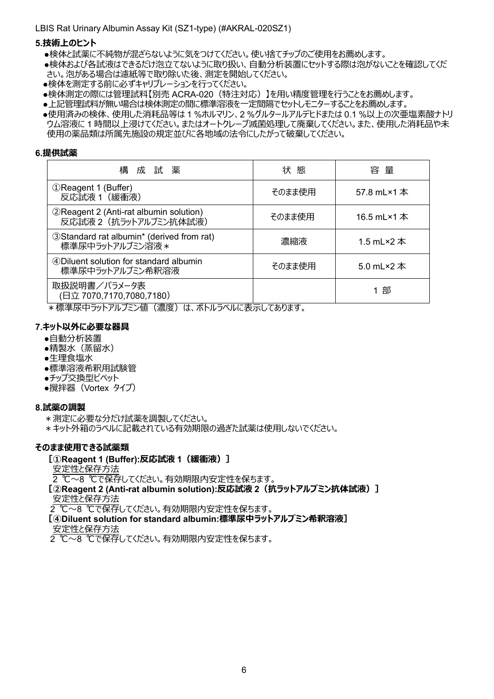#### **5.技術上のヒント**

- ●検体と試薬に不純物が混ざらないように気をつけてください。使い捨てチップのご使用をお薦めします。
- ●検体および各試液はできるだけ泡立てないように取り扱い、自動分析装置にセットする際は泡がないことを確認してくだ さい。泡がある場合は濾紙等で取り除いた後、測定を開始してください。
- ●検体を測定する前に必ずキャリブレーションを行ってください。
- ●検体測定の際には管理試料【別売 ACRA-020(特注対応)】を用い精度管理を行うことをお薦めします。
- ●上記管理試料が無い場合は検体測定の間に標準溶液を一定間隔でセットしモニターすることをお薦めします。
- ●使用済みの検体、使用した消耗品等は 1 %ホルマリン、2 %グルタールアルデヒドまたは 0.1 %以上の次亜塩素酸ナトリ ウム溶液に 1 時間以上浸けてください。またはオートクレーブ滅菌処理して廃棄してください。また、使用した消耗品や未 使用の薬品類は所属先施設の規定並びに各地域の法令にしたがって破棄してください。

#### **6.提供試薬**

| 構<br>成試薬                                                         | 状 態    | 容 量         |
|------------------------------------------------------------------|--------|-------------|
| 1 (Buffer)<br>反応試液 1 (緩衝液)                                       | そのまま使用 | 57.8 mL×1 本 |
| 2 Reagent 2 (Anti-rat albumin solution)<br>反応試液2 (抗ラットアルブミン抗体試液) | そのまま使用 | 16.5 mL×1 本 |
| 3 Standard rat albumin* (derived from rat)<br>標準尿中ラットアルブミン溶液 *   | 濃縮液    | 1.5 mL×2 本  |
| 4 Diluent solution for standard albumin<br>標準尿中ラットアルブミン希釈溶液      | そのまま使用 | 5.0 mL×2 本  |
| 取扱説明書/パラメータ表<br>(日立 7070,7170,7080,7180)                         |        | 1 部         |

\*標準尿中ラットアルブミン値 (濃度) は、ボトルラベルに表示してあります。

# **7.キット以外に必要な器具**

- ●自動分析装置
- ●精製水(蒸留水)
- ●生理食塩水
- ●標準溶液希釈用試験管
- ●チップ交換型ピペット
- ●攪拌器 (Vortex タイプ)

#### **8.試薬の調製**

- \*測定に必要な分だけ試薬を調製してください。
- \*キット外箱のラベルに記載されている有効期限の過ぎた試薬は使用しないでください。

#### **そのまま使用できる試薬類**

**[①Reagent 1 (Buffer):反応試液 1(緩衝液)]**

安定性と保存方法

2 ℃~8 ℃で保存してください。有効期限内安定性を保ちます。

**[②Reagent 2 (Anti-rat albumin solution):反応試液 2(抗ラットアルブミン抗体試液)]** 安定性と保存方法

2 ℃~8 ℃で保存してください。有効期限内安定性を保ちます。

**[④Diluent solution for standard albumin:標準尿中ラットアルブミン希釈溶液]** 安定性と保存方法

2 ℃~8 ℃で保存してください。有効期限内安定性を保ちます。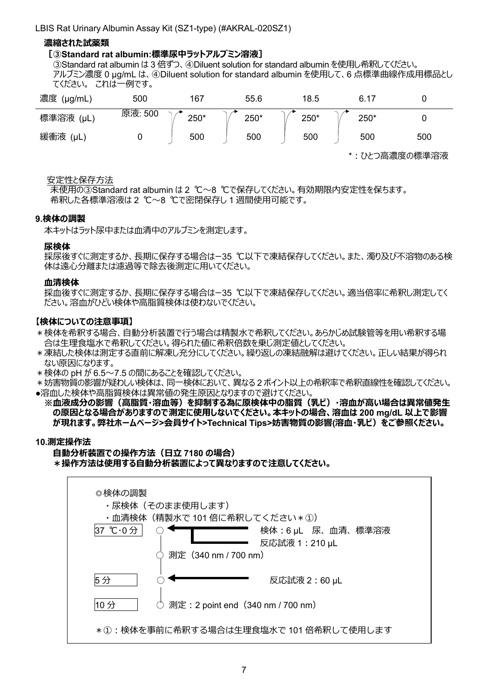### **濃縮された試薬類**

#### **[③Standard rat albumin:標準尿中ラットアルブミン溶液]**

③Standard rat albumin は 3 倍ずつ、④Diluent solution for standard albumin を使用し希釈してください。 アルブミン濃度 0 μg/mL は、④Diluent solution for standard albumin を使用して、6 点標準曲線作成用標品とし てください。 これは一例です。

| 濃度<br>$(\mu g/mL)$ | 500     | 167  | 55.6 | 18.5 | 6.17 |     |
|--------------------|---------|------|------|------|------|-----|
| 標準溶液<br>$(\mu L)$  | 原液: 500 | 250* | 250* | 250* | 250* |     |
| 緩衝液<br>(μL,        | u       | 500  | 500  | 500  | 500  | 500 |

\*:ひとつ高濃度の標準溶液

#### 安定性と保存方法

未使用の③Standard rat albumin は 2 ℃~8 ℃で保存してください。有効期限内安定性を保ちます。 希釈した各標準溶液は 2 ℃~8 ℃で密閉保存し 1 週間使用可能です。

#### **9.検体の調製**

本キットはラット尿中または血清中のアルブミンを測定します。

#### **尿検体**

採尿後すぐに測定するか、長期に保存する場合はー35 ℃以下で凍結保存してください。また、濁り及び不溶物のある検 体は遠心分離または濾過等で除去後測定に用いてください。

#### **血清検体**

採血後すぐに測定するか、長期に保存する場合はー35 ℃以下で凍結保存してください。適当倍率に希釈し測定してく ださい。溶血がひどい検体や高脂質検体は使わないでください。

#### **【検体についての注意事項】**

- \*検体を希釈する場合、自動分析装置で行う場合は精製水で希釈してください。あらかじめ試験管等を用い希釈する場 合は生理食塩水で希釈してください。得られた値に希釈倍数を乗じ測定値としてください。
- \*凍結した検体は測定する直前に解凍し充分にしてください。繰り返しの凍結融解は避けてください。正しい結果が得られ ない原因になります。
- \*検体の pH が 6.5~7.5 の間にあることを確認してください。
- \*妨害物質の影響が疑わしい検体は、同一検体において、異なる 2 ポイント以上の希釈率で希釈直線性を確認してください。 ●溶血した検体や高脂質検体は異常値の発生原因となりますので避けてください。
- **※血液成分の影響(高脂質・溶血等)を抑制する為に原検体中の脂質(乳ビ)・溶血が高い場合は異常値発生 の原因となる場合がありますので測定に使用しないでください。本キットの場合、溶血は 200 mg/dL 以上で影響 が現れます。弊社ホームページ>会員サイト>Technical Tips>妨害物質の影響(溶血・乳ビ)をご参照ください。**

#### **10.測定操作法**

#### **自動分析装置での操作方法(日立 7180 の場合) \*操作方法は使用する自動分析装置によって異なりますので注意してください。**